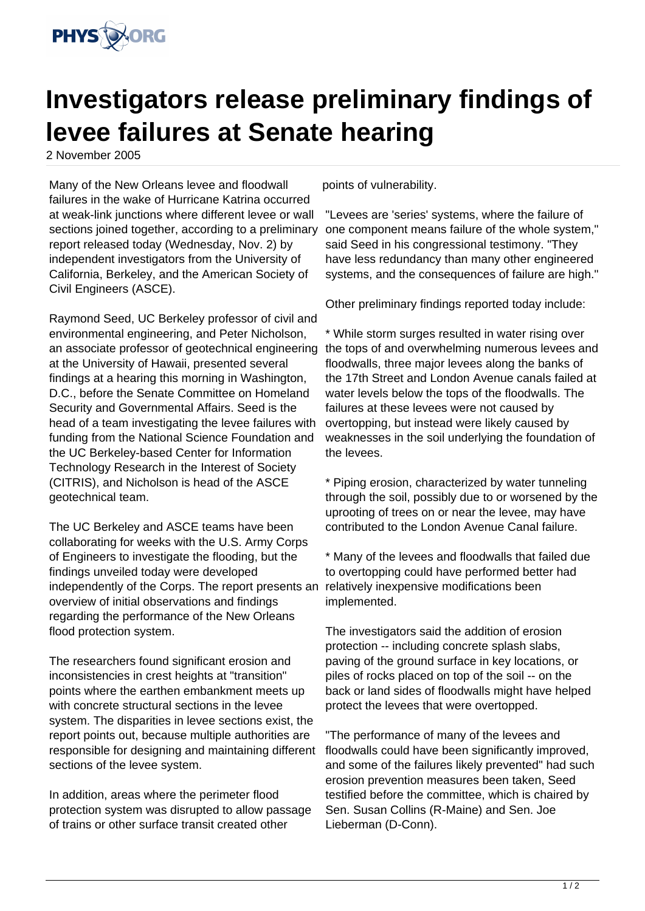

## **Investigators release preliminary findings of levee failures at Senate hearing**

2 November 2005

Many of the New Orleans levee and floodwall failures in the wake of Hurricane Katrina occurred at weak-link junctions where different levee or wall sections joined together, according to a preliminary report released today (Wednesday, Nov. 2) by independent investigators from the University of California, Berkeley, and the American Society of Civil Engineers (ASCE).

Raymond Seed, UC Berkeley professor of civil and environmental engineering, and Peter Nicholson, an associate professor of geotechnical engineering at the University of Hawaii, presented several findings at a hearing this morning in Washington, D.C., before the Senate Committee on Homeland Security and Governmental Affairs. Seed is the head of a team investigating the levee failures with funding from the National Science Foundation and the UC Berkeley-based Center for Information Technology Research in the Interest of Society (CITRIS), and Nicholson is head of the ASCE geotechnical team.

The UC Berkeley and ASCE teams have been collaborating for weeks with the U.S. Army Corps of Engineers to investigate the flooding, but the findings unveiled today were developed independently of the Corps. The report presents an overview of initial observations and findings regarding the performance of the New Orleans flood protection system.

The researchers found significant erosion and inconsistencies in crest heights at "transition" points where the earthen embankment meets up with concrete structural sections in the levee system. The disparities in levee sections exist, the report points out, because multiple authorities are responsible for designing and maintaining different sections of the levee system.

In addition, areas where the perimeter flood protection system was disrupted to allow passage of trains or other surface transit created other

points of vulnerability.

"Levees are 'series' systems, where the failure of one component means failure of the whole system," said Seed in his congressional testimony. "They have less redundancy than many other engineered systems, and the consequences of failure are high."

Other preliminary findings reported today include:

\* While storm surges resulted in water rising over the tops of and overwhelming numerous levees and floodwalls, three major levees along the banks of the 17th Street and London Avenue canals failed at water levels below the tops of the floodwalls. The failures at these levees were not caused by overtopping, but instead were likely caused by weaknesses in the soil underlying the foundation of the levees.

\* Piping erosion, characterized by water tunneling through the soil, possibly due to or worsened by the uprooting of trees on or near the levee, may have contributed to the London Avenue Canal failure.

\* Many of the levees and floodwalls that failed due to overtopping could have performed better had relatively inexpensive modifications been implemented.

The investigators said the addition of erosion protection -- including concrete splash slabs, paving of the ground surface in key locations, or piles of rocks placed on top of the soil -- on the back or land sides of floodwalls might have helped protect the levees that were overtopped.

"The performance of many of the levees and floodwalls could have been significantly improved, and some of the failures likely prevented" had such erosion prevention measures been taken, Seed testified before the committee, which is chaired by Sen. Susan Collins (R-Maine) and Sen. Joe Lieberman (D-Conn).